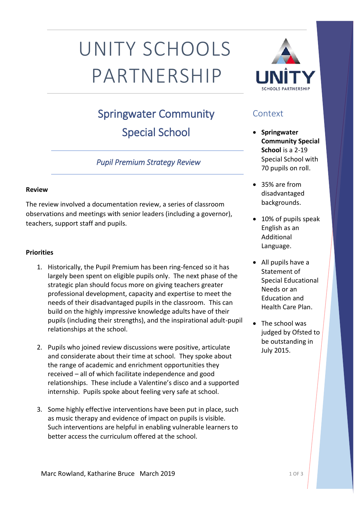# UNITY SCHOOLS PARTNERSHIP

# Springwater Community Special School

## *Pupil Premium Strategy Review*

#### **Review**

The review involved a documentation review, a series of classroom observations and meetings with senior leaders (including a governor), teachers, support staff and pupils.

#### **Priorities**

- 1. Historically, the Pupil Premium has been ring-fenced so it has largely been spent on eligible pupils only. The next phase of the strategic plan should focus more on giving teachers greater professional development, capacity and expertise to meet the needs of their disadvantaged pupils in the classroom. This can build on the highly impressive knowledge adults have of their pupils (including their strengths), and the inspirational adult-pupil relationships at the school.
- 2. Pupils who joined review discussions were positive, articulate and considerate about their time at school. They spoke about the range of academic and enrichment opportunities they received – all of which facilitate independence and good relationships. These include a Valentine's disco and a supported internship. Pupils spoke about feeling very safe at school.
- 3. Some highly effective interventions have been put in place, such as music therapy and evidence of impact on pupils is visible. Such interventions are helpful in enabling vulnerable learners to better access the curriculum offered at the school.



## **Context**

- **Springwater Community Special School** is a 2-19 Special School with 70 pupils on roll.
- 35% are from disadvantaged backgrounds.
- 10% of pupils speak English as an Additional Language.
- All pupils have a Statement of Special Educational Needs or an Education and Health Care Plan.
- The school was judged by Ofsted to be outstanding in July 2015.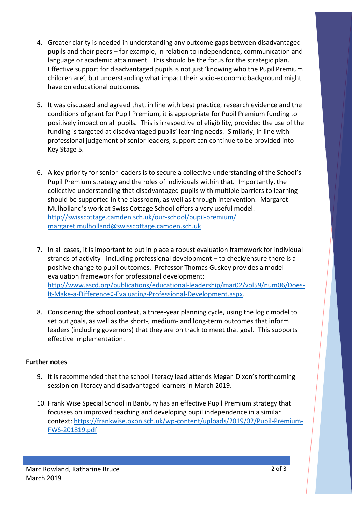- 4. Greater clarity is needed in understanding any outcome gaps between disadvantaged pupils and their peers – for example, in relation to independence, communication and language or academic attainment. This should be the focus for the strategic plan. Effective support for disadvantaged pupils is not just 'knowing who the Pupil Premium children are', but understanding what impact their socio-economic background might have on educational outcomes.
- 5. It was discussed and agreed that, in line with best practice, research evidence and the conditions of grant for Pupil Premium, it is appropriate for Pupil Premium funding to positively impact on all pupils. This is irrespective of eligibility, provided the use of the funding is targeted at disadvantaged pupils' learning needs. Similarly, in line with professional judgement of senior leaders, support can continue to be provided into Key Stage 5.
- 6. A key priority for senior leaders is to secure a collective understanding of the School's Pupil Premium strategy and the roles of individuals within that. Importantly, the collective understanding that disadvantaged pupils with multiple barriers to learning should be supported in the classroom, as well as through intervention. Margaret Mulholland's work at Swiss Cottage School offers a very useful model: <http://swisscottage.camden.sch.uk/our-school/pupil-premium/> [margaret.mulholland@swisscottage.camden.sch.uk](mailto:margaret.mulholland@swisscottage.camden.sch.uk)
- 7. In all cases, it is important to put in place a robust evaluation framework for individual strands of activity - including professional development – to check/ensure there is a positive change to pupil outcomes. Professor Thomas Guskey provides a model evaluation framework for professional development: [http://www.ascd.org/publications/educational-leadership/mar02/vol59/num06/Does-](http://www.ascd.org/publications/educational-leadership/mar02/vol59/num06/Does-It-Make-a-Difference¢-Evaluating-Professional-Development.aspx)[It-Make-a-Difference¢-Evaluating-Professional-Development.aspx.](http://www.ascd.org/publications/educational-leadership/mar02/vol59/num06/Does-It-Make-a-Difference¢-Evaluating-Professional-Development.aspx)
- 8. Considering the school context, a three-year planning cycle, using the logic model to set out goals, as well as the short-, medium- and long-term outcomes that inform leaders (including governors) that they are on track to meet that goal. This supports effective implementation.

#### **Further notes**

- 9. It is recommended that the school literacy lead attends Megan Dixon's forthcoming session on literacy and disadvantaged learners in March 2019.
- 10. Frank Wise Special School in Banbury has an effective Pupil Premium strategy that focusses on improved teaching and developing pupil independence in a similar context: [https://frankwise.oxon.sch.uk/wp-content/uploads/2019/02/Pupil-Premium-](https://frankwise.oxon.sch.uk/wp-content/uploads/2019/02/Pupil-Premium-FWS-201819.pdf)[FWS-201819.pdf](https://frankwise.oxon.sch.uk/wp-content/uploads/2019/02/Pupil-Premium-FWS-201819.pdf)